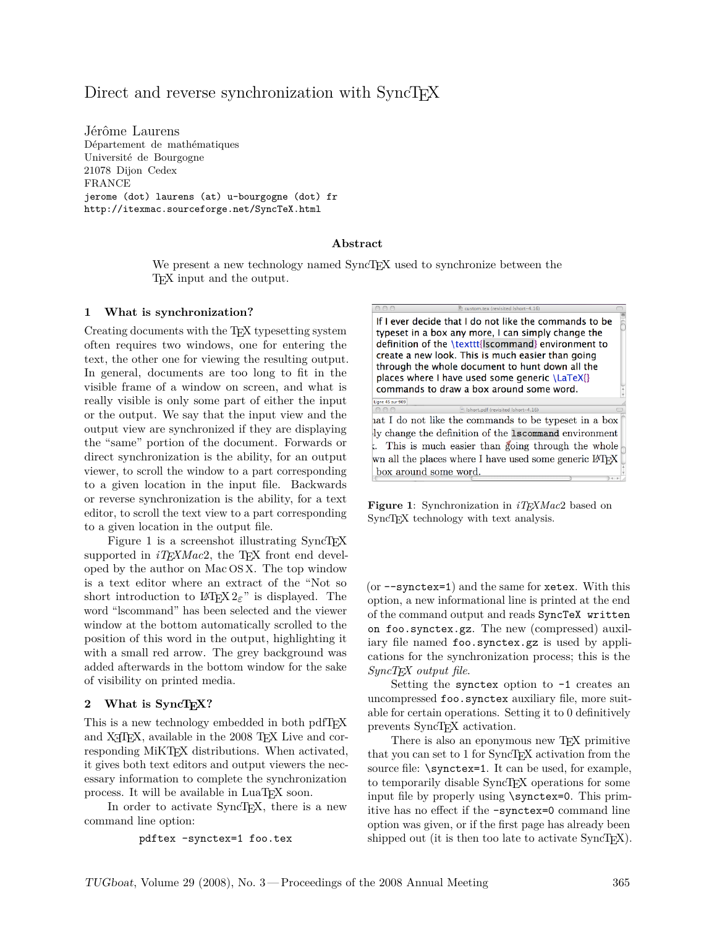# Direct and reverse synchronization with SyncT<sub>EX</sub>

Jérôme Laurens Département de mathématiques Université de Bourgogne 21078 Dijon Cedex FRANCE jerome (dot) laurens (at) u-bourgogne (dot) fr http://itexmac.sourceforge.net/SyncTeX.html

### **Abstract**

We present a new technology named SyncTFX used to synchronize between the TEX input and the output.

### **1 What is synchronization?**

Creating documents with the TEX typesetting system often requires two windows, one for entering the text, the other one for viewing the resulting output. In general, documents are too long to fit in the visible frame of a window on screen, and what is really visible is only some part of either the input or the output. We say that the input view and the output view are synchronized if they are displaying the "same" portion of the document. Forwards or direct synchronization is the ability, for an output viewer, to scroll the window to a part corresponding to a given location in the input file. Backwards or reverse synchronization is the ability, for a text editor, to scroll the text view to a part corresponding to a given location in the output file.

Figure [1](#page-0-0) is a screenshot illustrating SyncTEX supported in  $iT_F X Mac2$ , the T<sub>F</sub>X front end developed by the author on Mac OS X. The top window is a text editor where an extract of the "Not so short introduction to  $L^2 \to \mathbb{R}^2$  is displayed. The word "lscommand" has been selected and the viewer window at the bottom automatically scrolled to the position of this word in the output, highlighting it with a small red arrow. The grey background was added afterwards in the bottom window for the sake of visibility on printed media.

### 2 What is SyncT<sub>E</sub>X?

This is a new technology embedded in both pdfT<sub>F</sub>X and X<sub>H</sub>T<sub>E</sub>X, available in the 2008 T<sub>E</sub>X Live and corresponding MiKTEX distributions. When activated, it gives both text editors and output viewers the necessary information to complete the synchronization process. It will be available in LuaT<sub>EX</sub> soon.

In order to activate SyncTEX, there is a new command line option:

pdftex -synctex=1 foo.tex

If I ever decide that I do not like the commands to be typeset in a box any more, I can simply change the definition of the \texttt{lscommand} environment to create a new look. This is much easier than going through the whole document to hunt down all the places where I have used some generic \LaTeX{} commands to draw a box around some word. Ligne 45 sur 909  $\boxed{\mathbf{F}}$  Ishort.pdf (revisited Ishort-4.16) hat I do not like the commands to be typeset in a box ly change the definition of the 1scommand environment . This is much easier than going through the whole wn all the places where I have used some generic LATFX box around some word.

<span id="page-0-0"></span>**Figure 1**: Synchronization in *iTEXMac*2 based on SyncT<sub>EX</sub> technology with text analysis.

(or --synctex=1) and the same for xetex. With this option, a new informational line is printed at the end of the command output and reads SyncTeX written on foo.synctex.gz. The new (compressed) auxiliary file named foo.synctex.gz is used by applications for the synchronization process; this is the *SyncTEX output file*.

Setting the synctex option to -1 creates an uncompressed foo.synctex auxiliary file, more suitable for certain operations. Setting it to 0 definitively prevents SyncT<sub>EX</sub> activation.

There is also an eponymous new T<sub>EX</sub> primitive that you can set to 1 for SyncTEX activation from the source file: \synctex=1. It can be used, for example, to temporarily disable SyncTEX operations for some input file by properly using \synctex=0. This primitive has no effect if the -synctex=0 command line option was given, or if the first page has already been shipped out (it is then too late to activate  $\text{SyncT}$ EX).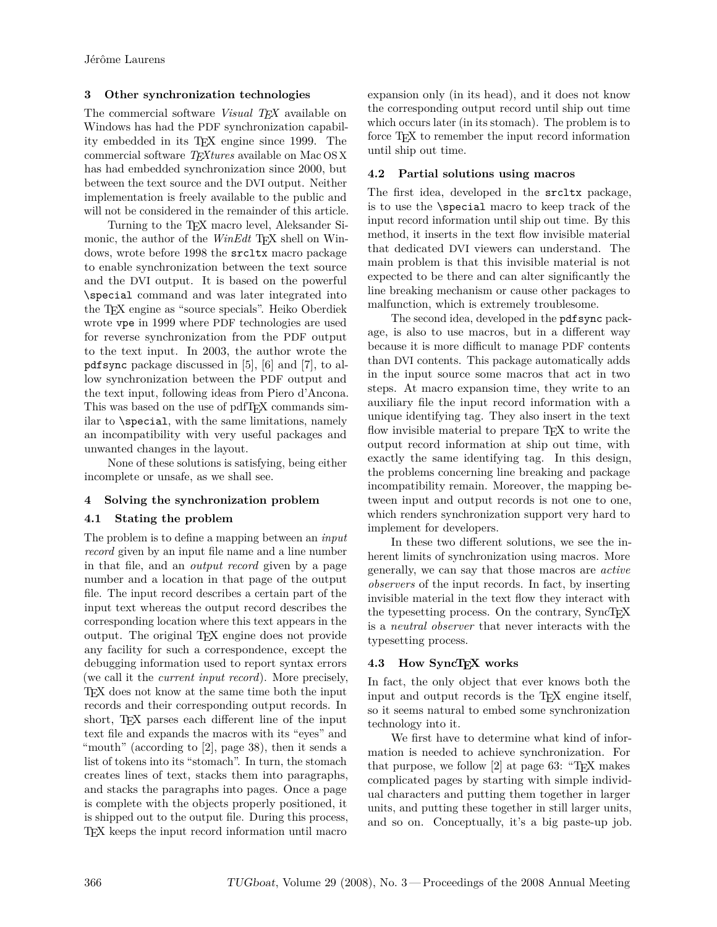## **3 Other synchronization technologies**

The commercial software *Visual TEX* available on Windows has had the PDF synchronization capability embedded in its TEX engine since 1999. The commercial software *TEXtures* available on Mac OS X has had embedded synchronization since 2000, but between the text source and the DVI output. Neither implementation is freely available to the public and will not be considered in the remainder of this article.

Turning to the TEX macro level, Aleksander Simonic, the author of the *WinEdt* T<sub>EX</sub> shell on Windows, wrote before 1998 the srcltx macro package to enable synchronization between the text source and the DVI output. It is based on the powerful \special command and was later integrated into the TEX engine as "source specials". Heiko Oberdiek wrote vpe in 1999 where PDF technologies are used for reverse synchronization from the PDF output to the text input. In 2003, the author wrote the pdfsync package discussed in [\[5\]](#page-6-0), [\[6\]](#page-6-1) and [\[7\]](#page-6-2), to allow synchronization between the PDF output and the text input, following ideas from Piero d'Ancona. This was based on the use of pdfT<sub>F</sub>X commands similar to \special, with the same limitations, namely an incompatibility with very useful packages and unwanted changes in the layout.

None of these solutions is satisfying, being either incomplete or unsafe, as we shall see.

## **4 Solving the synchronization problem**

## **4.1 Stating the problem**

The problem is to define a mapping between an *input record* given by an input file name and a line number in that file, and an *output record* given by a page number and a location in that page of the output file. The input record describes a certain part of the input text whereas the output record describes the corresponding location where this text appears in the output. The original TEX engine does not provide any facility for such a correspondence, except the debugging information used to report syntax errors (we call it the *current input record*). More precisely, TEX does not know at the same time both the input records and their corresponding output records. In short, T<sub>EX</sub> parses each different line of the input text file and expands the macros with its "eyes" and "mouth" (according to [\[2\]](#page-6-3), page 38), then it sends a list of tokens into its "stomach". In turn, the stomach creates lines of text, stacks them into paragraphs, and stacks the paragraphs into pages. Once a page is complete with the objects properly positioned, it is shipped out to the output file. During this process, TEX keeps the input record information until macro

expansion only (in its head), and it does not know the corresponding output record until ship out time which occurs later (in its stomach). The problem is to force T<sub>F</sub>X to remember the input record information until ship out time.

### **4.2 Partial solutions using macros**

The first idea, developed in the srcltx package, is to use the \special macro to keep track of the input record information until ship out time. By this method, it inserts in the text flow invisible material that dedicated DVI viewers can understand. The main problem is that this invisible material is not expected to be there and can alter significantly the line breaking mechanism or cause other packages to malfunction, which is extremely troublesome.

The second idea, developed in the pdfsync package, is also to use macros, but in a different way because it is more difficult to manage PDF contents than DVI contents. This package automatically adds in the input source some macros that act in two steps. At macro expansion time, they write to an auxiliary file the input record information with a unique identifying tag. They also insert in the text flow invisible material to prepare TEX to write the output record information at ship out time, with exactly the same identifying tag. In this design, the problems concerning line breaking and package incompatibility remain. Moreover, the mapping between input and output records is not one to one, which renders synchronization support very hard to implement for developers.

In these two different solutions, we see the inherent limits of synchronization using macros. More generally, we can say that those macros are *active observers* of the input records. In fact, by inserting invisible material in the text flow they interact with the typesetting process. On the contrary, SyncTEX is a *neutral observer* that never interacts with the typesetting process.

## **4.3 How SyncTEX works**

In fact, the only object that ever knows both the input and output records is the TEX engine itself, so it seems natural to embed some synchronization technology into it.

We first have to determine what kind of information is needed to achieve synchronization. For that purpose, we follow [\[2\]](#page-6-3) at page 63: "TEX makes complicated pages by starting with simple individual characters and putting them together in larger units, and putting these together in still larger units, and so on. Conceptually, it's a big paste-up job.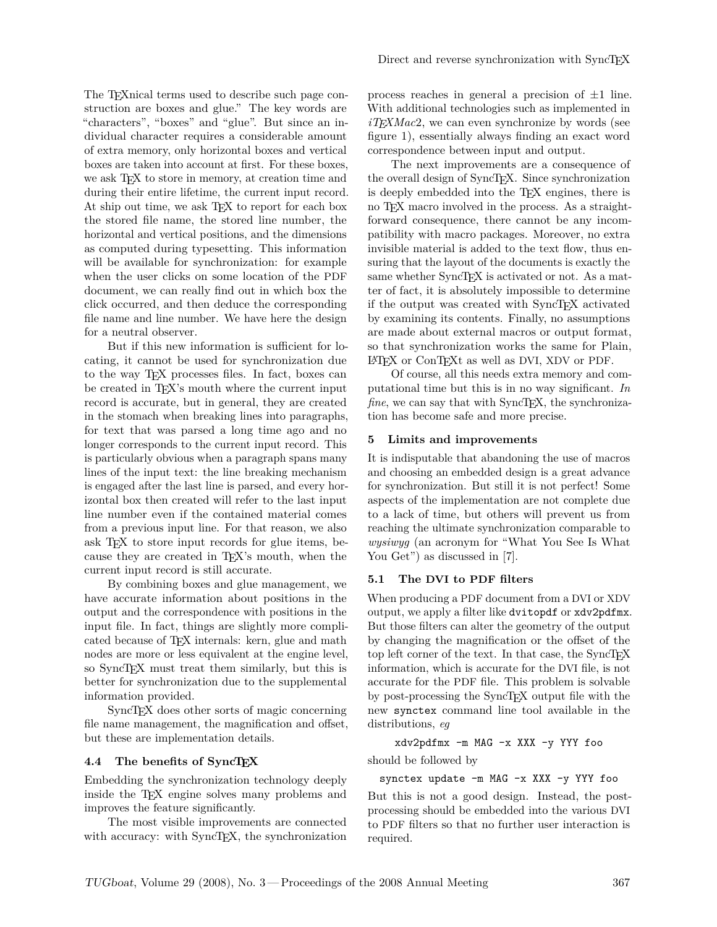The TEXnical terms used to describe such page construction are boxes and glue." The key words are "characters", "boxes" and "glue". But since an individual character requires a considerable amount of extra memory, only horizontal boxes and vertical boxes are taken into account at first. For these boxes, we ask T<sub>E</sub>X to store in memory, at creation time and during their entire lifetime, the current input record. At ship out time, we ask T<sub>EX</sub> to report for each box the stored file name, the stored line number, the horizontal and vertical positions, and the dimensions as computed during typesetting. This information will be available for synchronization: for example when the user clicks on some location of the PDF document, we can really find out in which box the click occurred, and then deduce the corresponding file name and line number. We have here the design for a neutral observer.

But if this new information is sufficient for locating, it cannot be used for synchronization due to the way TEX processes files. In fact, boxes can be created in T<sub>FX</sub>'s mouth where the current input record is accurate, but in general, they are created in the stomach when breaking lines into paragraphs, for text that was parsed a long time ago and no longer corresponds to the current input record. This is particularly obvious when a paragraph spans many lines of the input text: the line breaking mechanism is engaged after the last line is parsed, and every horizontal box then created will refer to the last input line number even if the contained material comes from a previous input line. For that reason, we also ask TEX to store input records for glue items, because they are created in TEX's mouth, when the current input record is still accurate.

By combining boxes and glue management, we have accurate information about positions in the output and the correspondence with positions in the input file. In fact, things are slightly more complicated because of T<sub>F</sub>X internals: kern, glue and math nodes are more or less equivalent at the engine level, so SyncTEX must treat them similarly, but this is better for synchronization due to the supplemental information provided.

SyncTEX does other sorts of magic concerning file name management, the magnification and offset, but these are implementation details.

#### **4.4 The benefits of SyncTEX**

Embedding the synchronization technology deeply inside the T<sub>F</sub>X engine solves many problems and improves the feature significantly.

The most visible improvements are connected with accuracy: with SyncTEX, the synchronization process reaches in general a precision of  $\pm 1$  line. With additional technologies such as implemented in *iTEXMac*2, we can even synchronize by words (see figure [1\)](#page-0-0), essentially always finding an exact word correspondence between input and output.

The next improvements are a consequence of the overall design of SyncT<sub>EX</sub>. Since synchronization is deeply embedded into the TEX engines, there is no T<sub>F</sub>X macro involved in the process. As a straightforward consequence, there cannot be any incompatibility with macro packages. Moreover, no extra invisible material is added to the text flow, thus ensuring that the layout of the documents is exactly the same whether SyncT<sub>E</sub>X is activated or not. As a matter of fact, it is absolutely impossible to determine if the output was created with SyncTEX activated by examining its contents. Finally, no assumptions are made about external macros or output format, so that synchronization works the same for Plain, LATEX or ConTEXt as well as DVI, XDV or PDF.

Of course, all this needs extra memory and computational time but this is in no way significant. *In fine*, we can say that with SyncTEX, the synchronization has become safe and more precise.

#### **5 Limits and improvements**

It is indisputable that abandoning the use of macros and choosing an embedded design is a great advance for synchronization. But still it is not perfect! Some aspects of the implementation are not complete due to a lack of time, but others will prevent us from reaching the ultimate synchronization comparable to *wysiwyg* (an acronym for "What You See Is What You Get") as discussed in [\[7\]](#page-6-2).

### **5.1 The DVI to PDF filters**

When producing a PDF document from a DVI or XDV output, we apply a filter like dvitopdf or xdv2pdfmx. But those filters can alter the geometry of the output by changing the magnification or the offset of the top left corner of the text. In that case, the SyncTEX information, which is accurate for the DVI file, is not accurate for the PDF file. This problem is solvable by post-processing the SyncT<sub>EX</sub> output file with the new synctex command line tool available in the distributions, *eg*

xdv2pdfmx -m MAG -x XXX -y YYY foo

should be followed by

synctex update -m MAG -x XXX -y YYY foo

But this is not a good design. Instead, the postprocessing should be embedded into the various DVI to PDF filters so that no further user interaction is required.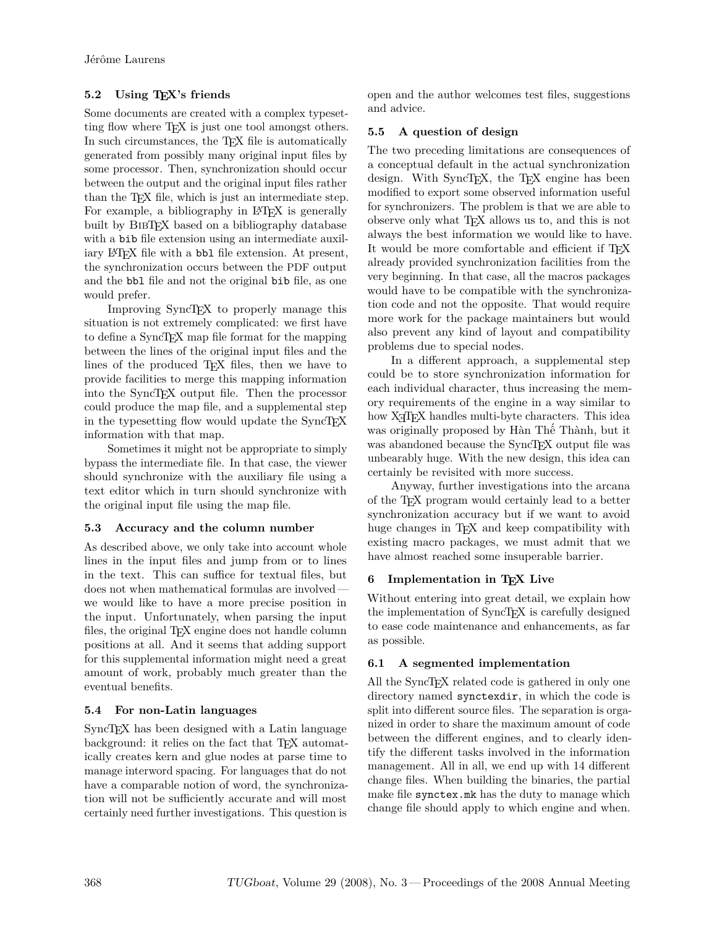# **5.2 Using TEX's friends**

Some documents are created with a complex typesetting flow where TEX is just one tool amongst others. In such circumstances, the T<sub>E</sub>X file is automatically generated from possibly many original input files by some processor. Then, synchronization should occur between the output and the original input files rather than the TEX file, which is just an intermediate step. For example, a bibliography in L<sup>AT</sup>EX is generally built by BIBTEX based on a bibliography database with a bib file extension using an intermediate auxiliary LAT<sub>EX</sub> file with a bbl file extension. At present, the synchronization occurs between the PDF output and the bbl file and not the original bib file, as one would prefer.

Improving SyncTEX to properly manage this situation is not extremely complicated: we first have to define a SyncTEX map file format for the mapping between the lines of the original input files and the lines of the produced T<sub>E</sub>X files, then we have to provide facilities to merge this mapping information into the SyncTEX output file. Then the processor could produce the map file, and a supplemental step in the typesetting flow would update the SyncTEX information with that map.

Sometimes it might not be appropriate to simply bypass the intermediate file. In that case, the viewer should synchronize with the auxiliary file using a text editor which in turn should synchronize with the original input file using the map file.

# **5.3 Accuracy and the column number**

As described above, we only take into account whole lines in the input files and jump from or to lines in the text. This can suffice for textual files, but does not when mathematical formulas are involved we would like to have a more precise position in the input. Unfortunately, when parsing the input files, the original T<sub>E</sub>X engine does not handle column positions at all. And it seems that adding support for this supplemental information might need a great amount of work, probably much greater than the eventual benefits.

# **5.4 For non-Latin languages**

SyncT<sub>EX</sub> has been designed with a Latin language background: it relies on the fact that T<sub>E</sub>X automatically creates kern and glue nodes at parse time to manage interword spacing. For languages that do not have a comparable notion of word, the synchronization will not be sufficiently accurate and will most certainly need further investigations. This question is

open and the author welcomes test files, suggestions and advice.

# **5.5 A question of design**

The two preceding limitations are consequences of a conceptual default in the actual synchronization design. With SyncT<sub>EX</sub>, the T<sub>EX</sub> engine has been modified to export some observed information useful for synchronizers. The problem is that we are able to observe only what T<sub>EX</sub> allows us to, and this is not always the best information we would like to have. It would be more comfortable and efficient if T<sub>E</sub>X already provided synchronization facilities from the very beginning. In that case, all the macros packages would have to be compatible with the synchronization code and not the opposite. That would require more work for the package maintainers but would also prevent any kind of layout and compatibility problems due to special nodes.

In a different approach, a supplemental step could be to store synchronization information for each individual character, thus increasing the memory requirements of the engine in a way similar to how X<sub>T</sub>T<sub>F</sub>X handles multi-byte characters. This idea was originally proposed by Hàn Thê´ Thành, but it was abandoned because the SyncT<sub>EX</sub> output file was unbearably huge. With the new design, this idea can certainly be revisited with more success.

Anyway, further investigations into the arcana of the TEX program would certainly lead to a better synchronization accuracy but if we want to avoid huge changes in T<sub>EX</sub> and keep compatibility with existing macro packages, we must admit that we have almost reached some insuperable barrier.

# **6 Implementation in TEX Live**

Without entering into great detail, we explain how the implementation of SyncTEX is carefully designed to ease code maintenance and enhancements, as far as possible.

# **6.1 A segmented implementation**

All the SyncTEX related code is gathered in only one directory named synctexdir, in which the code is split into different source files. The separation is organized in order to share the maximum amount of code between the different engines, and to clearly identify the different tasks involved in the information management. All in all, we end up with 14 different change files. When building the binaries, the partial make file synctex.mk has the duty to manage which change file should apply to which engine and when.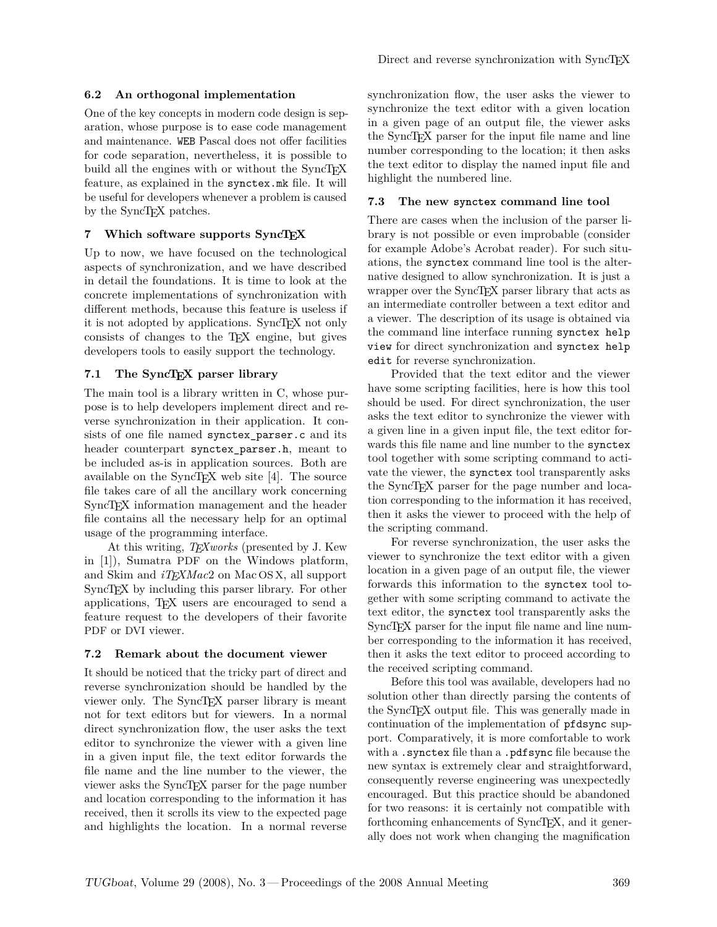## **6.2 An orthogonal implementation**

One of the key concepts in modern code design is separation, whose purpose is to ease code management and maintenance. WEB Pascal does not offer facilities for code separation, nevertheless, it is possible to build all the engines with or without the SyncT<sub>EX</sub> feature, as explained in the synctex.mk file. It will be useful for developers whenever a problem is caused by the SyncTEX patches.

### **7 Which software supports SyncTEX**

Up to now, we have focused on the technological aspects of synchronization, and we have described in detail the foundations. It is time to look at the concrete implementations of synchronization with different methods, because this feature is useless if it is not adopted by applications. SyncTEX not only consists of changes to the TEX engine, but gives developers tools to easily support the technology.

### **7.1 The SyncTEX parser library**

The main tool is a library written in C, whose purpose is to help developers implement direct and reverse synchronization in their application. It consists of one file named synctex parser.c and its header counterpart synctex\_parser.h, meant to be included as-is in application sources. Both are available on the SyncT<sub>EX</sub> web site  $[4]$ . The source file takes care of all the ancillary work concerning SyncT<sub>EX</sub> information management and the header file contains all the necessary help for an optimal usage of the programming interface.

At this writing, *TEXworks* (presented by J. Kew in [\[1\]](#page-6-5)), Sumatra PDF on the Windows platform, and Skim and *iTEXMac*2 on Mac OS X, all support SyncT<sub>E</sub>X by including this parser library. For other applications, TEX users are encouraged to send a feature request to the developers of their favorite PDF or DVI viewer.

## **7.2 Remark about the document viewer**

It should be noticed that the tricky part of direct and reverse synchronization should be handled by the viewer only. The SyncTEX parser library is meant not for text editors but for viewers. In a normal direct synchronization flow, the user asks the text editor to synchronize the viewer with a given line in a given input file, the text editor forwards the file name and the line number to the viewer, the viewer asks the SyncTEX parser for the page number and location corresponding to the information it has received, then it scrolls its view to the expected page and highlights the location. In a normal reverse synchronization flow, the user asks the viewer to synchronize the text editor with a given location in a given page of an output file, the viewer asks the SyncTEX parser for the input file name and line number corresponding to the location; it then asks the text editor to display the named input file and highlight the numbered line.

### **7.3 The new synctex command line tool**

There are cases when the inclusion of the parser library is not possible or even improbable (consider for example Adobe's Acrobat reader). For such situations, the synctex command line tool is the alternative designed to allow synchronization. It is just a wrapper over the SyncTEX parser library that acts as an intermediate controller between a text editor and a viewer. The description of its usage is obtained via the command line interface running synctex help view for direct synchronization and synctex help edit for reverse synchronization.

Provided that the text editor and the viewer have some scripting facilities, here is how this tool should be used. For direct synchronization, the user asks the text editor to synchronize the viewer with a given line in a given input file, the text editor forwards this file name and line number to the synctex tool together with some scripting command to activate the viewer, the synctex tool transparently asks the SyncTEX parser for the page number and location corresponding to the information it has received, then it asks the viewer to proceed with the help of the scripting command.

For reverse synchronization, the user asks the viewer to synchronize the text editor with a given location in a given page of an output file, the viewer forwards this information to the synctex tool together with some scripting command to activate the text editor, the synctex tool transparently asks the SyncT<sub>F</sub>X parser for the input file name and line number corresponding to the information it has received, then it asks the text editor to proceed according to the received scripting command.

Before this tool was available, developers had no solution other than directly parsing the contents of the SyncTEX output file. This was generally made in continuation of the implementation of pfdsync support. Comparatively, it is more comfortable to work with a .synctex file than a .pdfsync file because the new syntax is extremely clear and straightforward, consequently reverse engineering was unexpectedly encouraged. But this practice should be abandoned for two reasons: it is certainly not compatible with forthcoming enhancements of SyncT<sub>EX</sub>, and it generally does not work when changing the magnification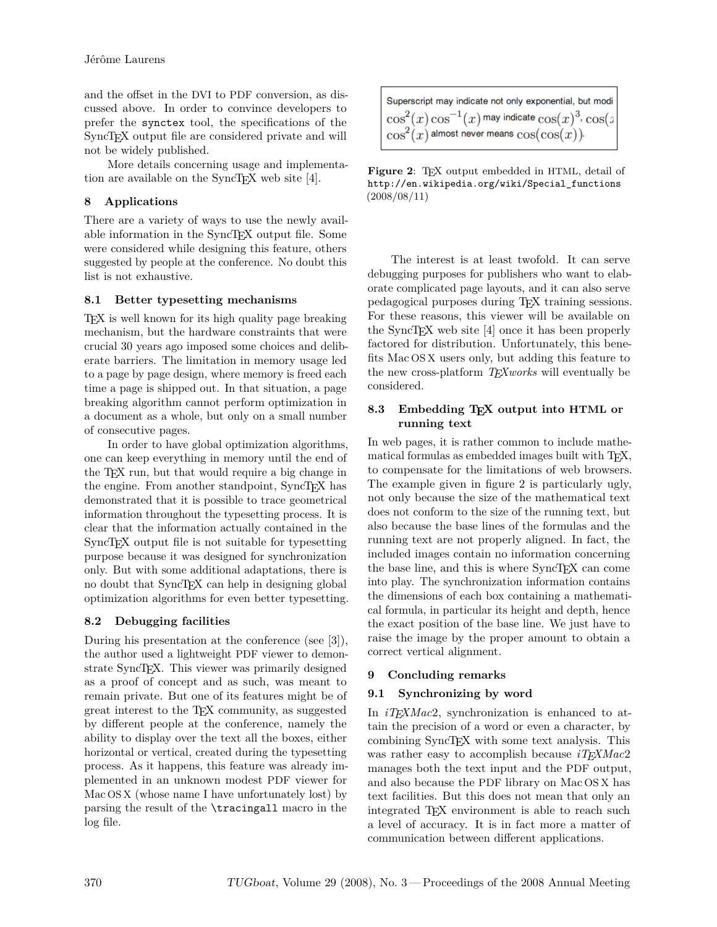and the offset in the DVI to PDF conversion, as discussed above. In order to convince developers to prefer the synctex tool, the specifications of the SyncTEX output file are considered private and will not be widely published.

More details concerning usage and implementa-tion are available on the SyncT<sub>E</sub>X web site [\[4\]](#page-6-4).

## **8 Applications**

There are a variety of ways to use the newly available information in the SyncT<sub>EX</sub> output file. Some were considered while designing this feature, others suggested by people at the conference. No doubt this list is not exhaustive.

# **8.1 Better typesetting mechanisms**

TEX is well known for its high quality page breaking mechanism, but the hardware constraints that were crucial 30 years ago imposed some choices and deliberate barriers. The limitation in memory usage led to a page by page design, where memory is freed each time a page is shipped out. In that situation, a page breaking algorithm cannot perform optimization in a document as a whole, but only on a small number of consecutive pages.

In order to have global optimization algorithms, one can keep everything in memory until the end of the TEX run, but that would require a big change in the engine. From another standpoint, SyncTEX has demonstrated that it is possible to trace geometrical information throughout the typesetting process. It is clear that the information actually contained in the SyncT<sub>EX</sub> output file is not suitable for typesetting purpose because it was designed for synchronization only. But with some additional adaptations, there is no doubt that SyncT<sub>EX</sub> can help in designing global optimization algorithms for even better typesetting.

# **8.2 Debugging facilities**

During his presentation at the conference (see [\[3\]](#page-6-6)), the author used a lightweight PDF viewer to demonstrate SyncTEX. This viewer was primarily designed as a proof of concept and as such, was meant to remain private. But one of its features might be of great interest to the TEX community, as suggested by different people at the conference, namely the ability to display over the text all the boxes, either horizontal or vertical, created during the typesetting process. As it happens, this feature was already implemented in an unknown modest PDF viewer for Mac OS X (whose name I have unfortunately lost) by parsing the result of the \tracingall macro in the log file.

| Superscript may indicate not only exponential, but modi      |
|--------------------------------------------------------------|
| $\cos^2(x)\cos^{-1}(x)$ may indicate $\cos(x)^3$ , $\cos(x)$ |
| $\cos^2(x)$ almost never means $\cos(\cos(x))$ .             |

<span id="page-5-0"></span>Figure 2: TEX output embedded in HTML, detail of [http://en.wikipedia.org/wiki/Special\\_functions](http://en.wikipedia.org/wiki/Special_functions) (2008/08/11)

The interest is at least twofold. It can serve debugging purposes for publishers who want to elaborate complicated page layouts, and it can also serve pedagogical purposes during TEX training sessions. For these reasons, this viewer will be available on the SyncTEX web site [\[4\]](#page-6-4) once it has been properly factored for distribution. Unfortunately, this benefits Mac OS X users only, but adding this feature to the new cross-platform *TEXworks* will eventually be considered.

## **8.3 Embedding TEX output into HTML or running text**

In web pages, it is rather common to include mathematical formulas as embedded images built with TEX, to compensate for the limitations of web browsers. The example given in figure [2](#page-5-0) is particularly ugly, not only because the size of the mathematical text does not conform to the size of the running text, but also because the base lines of the formulas and the running text are not properly aligned. In fact, the included images contain no information concerning the base line, and this is where SyncT<sub>EX</sub> can come into play. The synchronization information contains the dimensions of each box containing a mathematical formula, in particular its height and depth, hence the exact position of the base line. We just have to raise the image by the proper amount to obtain a correct vertical alignment.

# **9 Concluding remarks**

# **9.1 Synchronizing by word**

In *iTEXMac*2, synchronization is enhanced to attain the precision of a word or even a character, by combining SyncT<sub>E</sub>X with some text analysis. This was rather easy to accomplish because *iT<sub>E</sub>XMac*2 manages both the text input and the PDF output, and also because the PDF library on Mac OS X has text facilities. But this does not mean that only an integrated TEX environment is able to reach such a level of accuracy. It is in fact more a matter of communication between different applications.